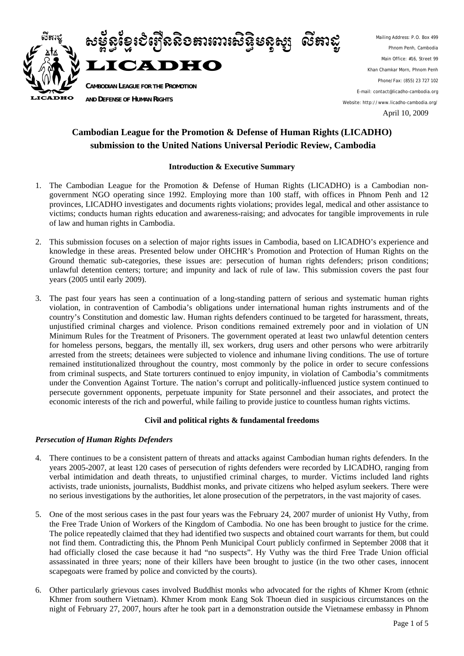

Mailing Address: P.O. Box 499 Phnom Penh, Cambodia Main Office: #16, Street 99 Khan Chamkar Morn, Phnom Penh Phone/Fax: (855) 23 727 102 E-mail: contact@licadho-cambodia.org Website: http://www.licadho-cambodia.org/ April 10, 2009

# **Cambodian League for the Promotion & Defense of Human Rights (LICADHO) submission to the United Nations Universal Periodic Review, Cambodia**

## **Introduction & Executive Summary**

- 1. The Cambodian League for the Promotion & Defense of Human Rights (LICADHO) is a Cambodian nongovernment NGO operating since 1992. Employing more than 100 staff, with offices in Phnom Penh and 12 provinces, LICADHO investigates and documents rights violations; provides legal, medical and other assistance to victims; conducts human rights education and awareness-raising; and advocates for tangible improvements in rule of law and human rights in Cambodia.
- 2. This submission focuses on a selection of major rights issues in Cambodia, based on LICADHO's experience and knowledge in these areas. Presented below under OHCHR's Promotion and Protection of Human Rights on the Ground thematic sub-categories, these issues are: persecution of human rights defenders; prison conditions; unlawful detention centers; torture; and impunity and lack of rule of law. This submission covers the past four years (2005 until early 2009).
- 3. The past four years has seen a continuation of a long-standing pattern of serious and systematic human rights violation, in contravention of Cambodia's obligations under international human rights instruments and of the country's Constitution and domestic law. Human rights defenders continued to be targeted for harassment, threats, unjustified criminal charges and violence. Prison conditions remained extremely poor and in violation of UN Minimum Rules for the Treatment of Prisoners. The government operated at least two unlawful detention centers for homeless persons, beggars, the mentally ill, sex workers, drug users and other persons who were arbitrarily arrested from the streets; detainees were subjected to violence and inhumane living conditions. The use of torture remained institutionalized throughout the country, most commonly by the police in order to secure confessions from criminal suspects, and State torturers continued to enjoy impunity, in violation of Cambodia's commitments under the Convention Against Torture. The nation's corrupt and politically-influenced justice system continued to persecute government opponents, perpetuate impunity for State personnel and their associates, and protect the economic interests of the rich and powerful, while failing to provide justice to countless human rights victims.

## **Civil and political rights & fundamental freedoms**

## *Persecution of Human Rights Defenders*

- 4. There continues to be a consistent pattern of threats and attacks against Cambodian human rights defenders. In the years 2005-2007, at least 120 cases of persecution of rights defenders were recorded by LICADHO, ranging from verbal intimidation and death threats, to unjustified criminal charges, to murder. Victims included land rights activists, trade unionists, journalists, Buddhist monks, and private citizens who helped asylum seekers. There were no serious investigations by the authorities, let alone prosecution of the perpetrators, in the vast majority of cases.
- 5. One of the most serious cases in the past four years was the February 24, 2007 murder of unionist Hy Vuthy, from the Free Trade Union of Workers of the Kingdom of Cambodia. No one has been brought to justice for the crime. The police repeatedly claimed that they had identified two suspects and obtained court warrants for them, but could not find them. Contradicting this, the Phnom Penh Municipal Court publicly confirmed in September 2008 that it had officially closed the case because it had "no suspects". Hy Vuthy was the third Free Trade Union official assassinated in three years; none of their killers have been brought to justice (in the two other cases, innocent scapegoats were framed by police and convicted by the courts).
- 6. Other particularly grievous cases involved Buddhist monks who advocated for the rights of Khmer Krom (ethnic Khmer from southern Vietnam). Khmer Krom monk Eang Sok Thoeun died in suspicious circumstances on the night of February 27, 2007, hours after he took part in a demonstration outside the Vietnamese embassy in Phnom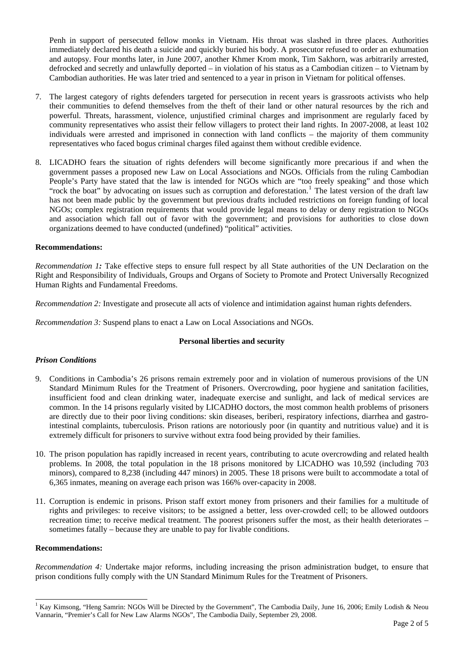Penh in support of persecuted fellow monks in Vietnam. His throat was slashed in three places. Authorities immediately declared his death a suicide and quickly buried his body. A prosecutor refused to order an exhumation and autopsy. Four months later, in June 2007, another Khmer Krom monk, Tim Sakhorn, was arbitrarily arrested, defrocked and secretly and unlawfully deported – in violation of his status as a Cambodian citizen – to Vietnam by Cambodian authorities. He was later tried and sentenced to a year in prison in Vietnam for political offenses.

- 7. The largest category of rights defenders targeted for persecution in recent years is grassroots activists who help their communities to defend themselves from the theft of their land or other natural resources by the rich and powerful. Threats, harassment, violence, unjustified criminal charges and imprisonment are regularly faced by community representatives who assist their fellow villagers to protect their land rights. In 2007-2008, at least 102 individuals were arrested and imprisoned in connection with land conflicts – the majority of them community representatives who faced bogus criminal charges filed against them without credible evidence.
- 8. LICADHO fears the situation of rights defenders will become significantly more precarious if and when the government passes a proposed new Law on Local Associations and NGOs. Officials from the ruling Cambodian People's Party have stated that the law is intended for NGOs which are "too freely speaking" and those which "rock the boat" by advocating on issues such as corruption and deforestation.<sup>[1](#page-1-0)</sup> The latest version of the draft law has not been made public by the government but previous drafts included restrictions on foreign funding of local NGOs; complex registration requirements that would provide legal means to delay or deny registration to NGOs and association which fall out of favor with the government; and provisions for authorities to close down organizations deemed to have conducted (undefined) "political" activities.

### **Recommendations:**

*Recommendation 1:* Take effective steps to ensure full respect by all State authorities of the UN Declaration on the Right and Responsibility of Individuals, Groups and Organs of Society to Promote and Protect Universally Recognized Human Rights and Fundamental Freedoms.

*Recommendation 2:* Investigate and prosecute all acts of violence and intimidation against human rights defenders.

*Recommendation 3:* Suspend plans to enact a Law on Local Associations and NGOs.

#### **Personal liberties and security**

## *Prison Conditions*

- 9. Conditions in Cambodia's 26 prisons remain extremely poor and in violation of numerous provisions of the UN Standard Minimum Rules for the Treatment of Prisoners. Overcrowding, poor hygiene and sanitation facilities, insufficient food and clean drinking water, inadequate exercise and sunlight, and lack of medical services are common. In the 14 prisons regularly visited by LICADHO doctors, the most common health problems of prisoners are directly due to their poor living conditions: skin diseases, beriberi, respiratory infections, diarrhea and gastrointestinal complaints, tuberculosis. Prison rations are notoriously poor (in quantity and nutritious value) and it is extremely difficult for prisoners to survive without extra food being provided by their families.
- 10. The prison population has rapidly increased in recent years, contributing to acute overcrowding and related health problems. In 2008, the total population in the 18 prisons monitored by LICADHO was 10,592 (including 703 minors), compared to 8,238 (including 447 minors) in 2005. These 18 prisons were built to accommodate a total of 6,365 inmates, meaning on average each prison was 166% over-capacity in 2008.
- 11. Corruption is endemic in prisons. Prison staff extort money from prisoners and their families for a multitude of rights and privileges: to receive visitors; to be assigned a better, less over-crowded cell; to be allowed outdoors recreation time; to receive medical treatment. The poorest prisoners suffer the most, as their health deteriorates – sometimes fatally – because they are unable to pay for livable conditions.

#### **Recommendations:**

-

*Recommendation 4:* Undertake major reforms, including increasing the prison administration budget, to ensure that prison conditions fully comply with the UN Standard Minimum Rules for the Treatment of Prisoners.

<span id="page-1-0"></span><sup>&</sup>lt;sup>1</sup> Kay Kimsong, "Heng Samrin: NGOs Will be Directed by the Government", The Cambodia Daily, June 16, 2006; Emily Lodish & Neou Vannarin, "Premier's Call for New Law Alarms NGOs", The Cambodia Daily, September 29, 2008.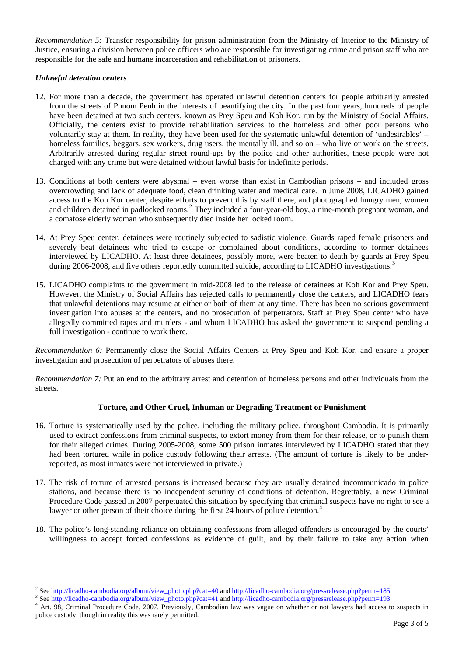*Recommendation 5:* Transfer responsibility for prison administration from the Ministry of Interior to the Ministry of Justice, ensuring a division between police officers who are responsible for investigating crime and prison staff who are responsible for the safe and humane incarceration and rehabilitation of prisoners.

## *Unlawful detention centers*

- 12. For more than a decade, the government has operated unlawful detention centers for people arbitrarily arrested from the streets of Phnom Penh in the interests of beautifying the city. In the past four years, hundreds of people have been detained at two such centers, known as Prey Speu and Koh Kor, run by the Ministry of Social Affairs. Officially, the centers exist to provide rehabilitation services to the homeless and other poor persons who voluntarily stay at them. In reality, they have been used for the systematic unlawful detention of 'undesirables' – homeless families, beggars, sex workers, drug users, the mentally ill, and so on – who live or work on the streets. Arbitrarily arrested during regular street round-ups by the police and other authorities, these people were not charged with any crime but were detained without lawful basis for indefinite periods.
- 13. Conditions at both centers were abysmal even worse than exist in Cambodian prisons and included gross overcrowding and lack of adequate food, clean drinking water and medical care. In June 2008, LICADHO gained access to the Koh Kor center, despite efforts to prevent this by staff there, and photographed hungry men, women and children detained in padlocked rooms.<sup>[2](#page-2-0)</sup> They included a four-year-old boy, a nine-month pregnant woman, and a comatose elderly woman who subsequently died inside her locked room.
- 14. At Prey Speu center, detainees were routinely subjected to sadistic violence. Guards raped female prisoners and severely beat detainees who tried to escape or complained about conditions, according to former detainees interviewed by LICADHO. At least three detainees, possibly more, were beaten to death by guards at Prey Speu during 2006-2008, and five others reportedly committed suicide, according to LICADHO investigations.<sup>[3](#page-2-1)</sup>
- 15. LICADHO complaints to the government in mid-2008 led to the release of detainees at Koh Kor and Prey Speu. However, the Ministry of Social Affairs has rejected calls to permanently close the centers, and LICADHO fears that unlawful detentions may resume at either or both of them at any time. There has been no serious government investigation into abuses at the centers, and no prosecution of perpetrators. Staff at Prey Speu center who have allegedly committed rapes and murders - and whom LICADHO has asked the government to suspend pending a full investigation - continue to work there.

*Recommendation 6:* Permanently close the Social Affairs Centers at Prey Speu and Koh Kor, and ensure a proper investigation and prosecution of perpetrators of abuses there.

*Recommendation 7:* Put an end to the arbitrary arrest and detention of homeless persons and other individuals from the streets.

## **Torture, and Other Cruel, Inhuman or Degrading Treatment or Punishment**

- 16. Torture is systematically used by the police, including the military police, throughout Cambodia. It is primarily used to extract confessions from criminal suspects, to extort money from them for their release, or to punish them for their alleged crimes. During 2005-2008, some 500 prison inmates interviewed by LICADHO stated that they had been tortured while in police custody following their arrests. (The amount of torture is likely to be underreported, as most inmates were not interviewed in private.)
- 17. The risk of torture of arrested persons is increased because they are usually detained incommunicado in police stations, and because there is no independent scrutiny of conditions of detention. Regrettably, a new Criminal Procedure Code passed in 2007 perpetuated this situation by specifying that criminal suspects have no right to see a lawyer or other person of their choice during the first 2[4](#page-2-2) hours of police detention.<sup>4</sup>
- 18. The police's long-standing reliance on obtaining confessions from alleged offenders is encouraged by the courts' willingness to accept forced confessions as evidence of guilt, and by their failure to take any action when

<sup>2&</sup>lt;br>
<sup>2</sup> See <u>[http://licadho-cambodia.org/album/view\\_photo.php?cat=40](http://licadho-cambodia.org/album/view_photo.php?cat=40)</u> and <u>http://licadho-cambodia.org/pressrelease.php?perm=185</u> 3<br>
<sup>3</sup> See http://licadho-cambodia.org/album/view\_photo.php?cat=40 and http://licadho-cambodi

<span id="page-2-1"></span><span id="page-2-0"></span> $\frac{3}{2}$ See [http://licadho-cambodia.org/album/view\\_photo.php?cat=41](http://licadho-cambodia.org/album/view_photo.php?cat=41) and http://licadho-cambodia.org/pressrelease.php?perm=193

<span id="page-2-2"></span><sup>&</sup>lt;sup>4</sup> Art. 98, Criminal Procedure Code, 2007. Previously, Cambodian law was vague on whether or not lawyers had access to suspects in police custody, though in reality this was rarely permitted.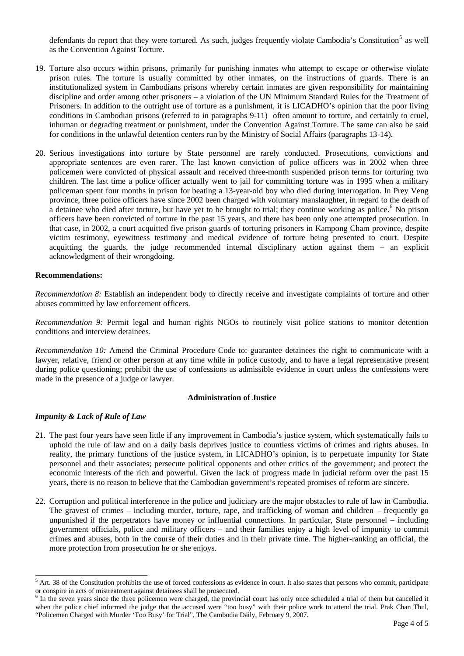defendants do report that they were tortured. As such, judges frequently violate Cambodia's Constitution<sup>[5](#page-3-0)</sup> as well as the Convention Against Torture.

- 19. Torture also occurs within prisons, primarily for punishing inmates who attempt to escape or otherwise violate prison rules. The torture is usually committed by other inmates, on the instructions of guards. There is an institutionalized system in Cambodians prisons whereby certain inmates are given responsibility for maintaining discipline and order among other prisoners – a violation of the UN Minimum Standard Rules for the Treatment of Prisoners. In addition to the outright use of torture as a punishment, it is LICADHO's opinion that the poor living conditions in Cambodian prisons (referred to in paragraphs 9-11) often amount to torture, and certainly to cruel, inhuman or degrading treatment or punishment, under the Convention Against Torture. The same can also be said for conditions in the unlawful detention centers run by the Ministry of Social Affairs (paragraphs 13-14).
- 20. Serious investigations into torture by State personnel are rarely conducted. Prosecutions, convictions and appropriate sentences are even rarer. The last known conviction of police officers was in 2002 when three policemen were convicted of physical assault and received three-month suspended prison terms for torturing two children. The last time a police officer actually went to jail for committing torture was in 1995 when a military policeman spent four months in prison for beating a 13-year-old boy who died during interrogation. In Prey Veng province, three police officers have since 2002 been charged with voluntary manslaughter, in regard to the death of a detainee who died after torture, but have yet to be brought to trial; they continue working as police.<sup>[6](#page-3-1)</sup> No prison officers have been convicted of torture in the past 15 years, and there has been only one attempted prosecution. In that case, in 2002, a court acquitted five prison guards of torturing prisoners in Kampong Cham province, despite victim testimony, eyewitness testimony and medical evidence of torture being presented to court. Despite acquitting the guards, the judge recommended internal disciplinary action against them – an explicit acknowledgment of their wrongdoing.

#### **Recommendations:**

*Recommendation 8:* Establish an independent body to directly receive and investigate complaints of torture and other abuses committed by law enforcement officers.

*Recommendation 9:* Permit legal and human rights NGOs to routinely visit police stations to monitor detention conditions and interview detainees.

*Recommendation 10:* Amend the Criminal Procedure Code to: guarantee detainees the right to communicate with a lawyer, relative, friend or other person at any time while in police custody, and to have a legal representative present during police questioning; prohibit the use of confessions as admissible evidence in court unless the confessions were made in the presence of a judge or lawyer.

#### **Administration of Justice**

#### *Impunity & Lack of Rule of Law*

-

- 21. The past four years have seen little if any improvement in Cambodia's justice system, which systematically fails to uphold the rule of law and on a daily basis deprives justice to countless victims of crimes and rights abuses. In reality, the primary functions of the justice system, in LICADHO's opinion, is to perpetuate impunity for State personnel and their associates; persecute political opponents and other critics of the government; and protect the economic interests of the rich and powerful. Given the lack of progress made in judicial reform over the past 15 years, there is no reason to believe that the Cambodian government's repeated promises of reform are sincere.
- 22. Corruption and political interference in the police and judiciary are the major obstacles to rule of law in Cambodia. The gravest of crimes – including murder, torture, rape, and trafficking of woman and children – frequently go unpunished if the perpetrators have money or influential connections. In particular, State personnel – including government officials, police and military officers – and their families enjoy a high level of impunity to commit crimes and abuses, both in the course of their duties and in their private time. The higher-ranking an official, the more protection from prosecution he or she enjoys.

<span id="page-3-0"></span> $<sup>5</sup>$  Art. 38 of the Constitution prohibits the use of forced confessions as evidence in court. It also states that persons who commit, participate</sup> or conspire in acts of mistreatment against detainees shall be prosecuted. 6

<span id="page-3-1"></span> $6$  In the seven years since the three policemen were charged, the provincial court has only once scheduled a trial of them but cancelled it when the police chief informed the judge that the accused were "too busy" with their police work to attend the trial. Prak Chan Thul, "Policemen Charged with Murder 'Too Busy' for Trial", The Cambodia Daily, February 9, 2007.